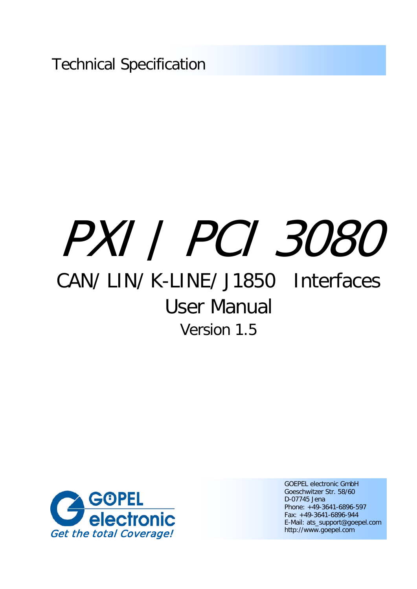Technical Specification

# PXI / PCI 3080

## CAN/ LIN/ K-LINE/ J1850 Interfaces User Manual Version 1.5



GOEPEL electronic GmbH Goeschwitzer Str. 58/60 D-07745 Jena Phone: +49-3641-6896-597 Fax: +49-3641-6896-944 E-Mail: ats\_support@goepel.com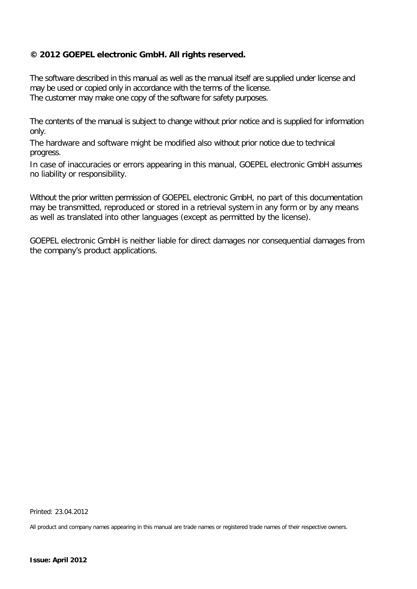#### **© 2012 GOEPEL electronic GmbH. All rights reserved.**

The software described in this manual as well as the manual itself are supplied under license and may be used or copied only in accordance with the terms of the license. The customer may make one copy of the software for safety purposes.

The contents of the manual is subject to change without prior notice and is supplied for information only.

The hardware and software might be modified also without prior notice due to technical progress.

In case of inaccuracies or errors appearing in this manual, GOEPEL electronic GmbH assumes no liability or responsibility.

Without the prior written permission of GOEPEL electronic GmbH, no part of this documentation may be transmitted, reproduced or stored in a retrieval system in any form or by any means as well as translated into other languages (except as permitted by the license).

GOEPEL electronic GmbH is neither liable for direct damages nor consequential damages from the company's product applications.

Printed: 23.04.2012

All product and company names appearing in this manual are trade names or registered trade names of their respective owners.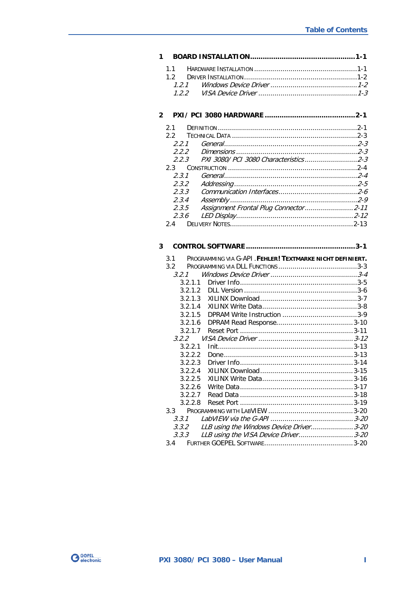| 1.1          |                                                           |  |
|--------------|-----------------------------------------------------------|--|
| 1.2          |                                                           |  |
| 1.2.1        |                                                           |  |
| 1.2.2        |                                                           |  |
| $\mathbf{2}$ |                                                           |  |
|              |                                                           |  |
| 2.1          |                                                           |  |
| $2.2 -$      |                                                           |  |
| 2.2.1        |                                                           |  |
| 2.2.2        |                                                           |  |
| 2.2.3        |                                                           |  |
| 2.3          |                                                           |  |
| 2.3.1        |                                                           |  |
| 2.3.2        |                                                           |  |
| 2.3.3        |                                                           |  |
| 2.3.4        |                                                           |  |
| 2.3.5        |                                                           |  |
| 2.3.6        |                                                           |  |
| 2.4          |                                                           |  |
|              |                                                           |  |
| 3            |                                                           |  |
|              |                                                           |  |
| 3.1          | PROGRAMMING VIA G-API. FEHLER! TEXTMARKE NICHT DEFINIERT. |  |
| 3.2          |                                                           |  |
| 3.2.1        |                                                           |  |
| 3.2.1.1      |                                                           |  |
| 3.2.1.2      |                                                           |  |
| 3.2.1.3      |                                                           |  |
| 3.2.1.4      |                                                           |  |
| 3.2.1.5      |                                                           |  |
| 3.2.1.6      |                                                           |  |
| 3.2.1.7      |                                                           |  |
| 3.2.2        |                                                           |  |
| 3.2.2.1      |                                                           |  |
| 3.2.2.2      |                                                           |  |
| 3.2.2.3      |                                                           |  |
| 3.2.2.4      |                                                           |  |
| 3.2.2.5      |                                                           |  |
| 3.2.2.6      |                                                           |  |
| 3.2.2.7      |                                                           |  |
| 3.2.2.8      |                                                           |  |
| 3.3          |                                                           |  |
| 3.3.1        |                                                           |  |
| 3.3.2        | LLB using the Windows Device Driver3-20                   |  |
| 3.3.3        | LLB using the VISA Device Driver3-20                      |  |

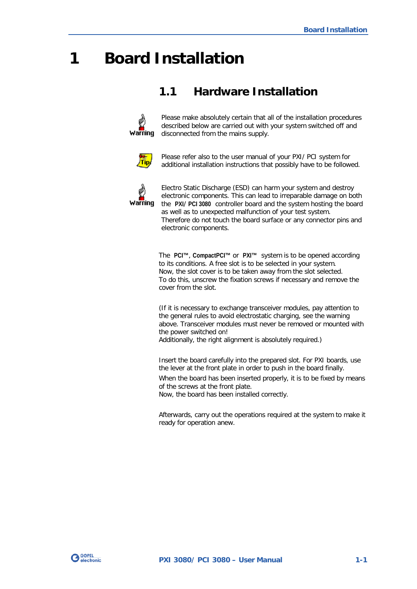## <span id="page-4-0"></span>**1 Board Installation**

## <span id="page-4-1"></span>**1.1 Hardware Installation**



Please make absolutely certain that all of the installation procedures described below are carried out with your system switched off and disconnected from the mains supply.



Please refer also to the user manual of your PXI/ PCI system for additional installation instructions that possibly have to be followed.



Electro Static Discharge (ESD) can harm your system and destroy electronic components. This can lead to irreparable damage on both the **PXI**/ **PCI 3080** controller board and the system hosting the board as well as to unexpected malfunction of your test system. Therefore do not touch the board surface or any connector pins and electronic components.

The **PCI™**, **CompactPCI™** or **PXI™** system is to be opened according to its conditions. A free slot is to be selected in your system. Now, the slot cover is to be taken away from the slot selected. To do this, unscrew the fixation screws if necessary and remove the cover from the slot.

(If it is necessary to exchange transceiver modules, pay attention to the general rules to avoid electrostatic charging, see the warning above. Transceiver modules must never be removed or mounted with the power switched on!

Additionally, the right alignment is absolutely required.)

Insert the board carefully into the prepared slot. For PXI boards, use the lever at the front plate in order to push in the board finally.

When the board has been inserted properly, it is to be fixed by means of the screws at the front plate.

Now, the board has been installed correctly.

Afterwards, carry out the operations required at the system to make it ready for operation anew.

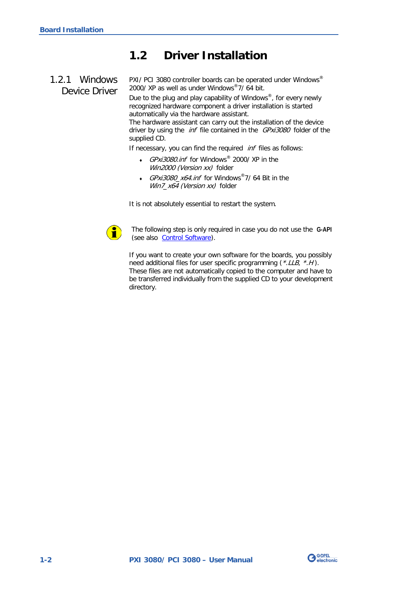## <span id="page-5-0"></span>**1.2 Driver Installation**

### <span id="page-5-1"></span>1.2.1 Windows Device Driver

PXI/ PCI 3080 controller boards can be operated under Windows® 2000/ XP as well as under Windows®7/ 64 bit.

Due to the plug and play capability of Windows®, for every newly recognized hardware component a driver installation is started automatically via the hardware assistant.

The hardware assistant can carry out the installation of the device driver by using the *inf* file contained in the *GPxi3080* folder of the supplied CD.

If necessary, you can find the required *inf* files as follows:

- GPxi3080.inf for Windows<sup>®</sup> 2000/ XP in the Win2000 (Version xx) folder
- GPxi3080\_x64.inf for Windows®7/ 64 Bit in the Win7\_x64 (Version xx) folder

It is not absolutely essential to restart the system.



The following step is only required in case you do not use the **G-API** (see also [Control Software\)](#page-22-0).

If you want to create your own software for the boards, you possibly need additional files for user specific programming (\*.LLB, \*.H). These files are not automatically copied to the computer and have to be transferred individually from the supplied CD to your development directory.

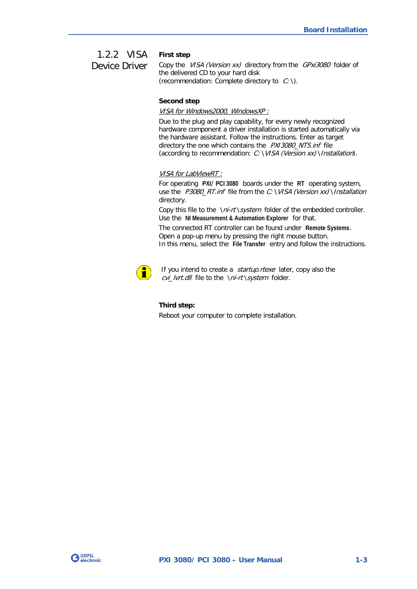#### <span id="page-6-0"></span>**First step** 1.2.2 VISA Device Driver

Copy the VISA (Version xx) directory from the GPxi3080 folder of the delivered CD to your hard disk (recommendation: Complete directory to  $C: \mathcal{C}$ ).

#### **Second step**

#### VISA for Windows2000, WindowsXP :

Due to the plug and play capability, for every newly recognized hardware component a driver installation is started automatically via the hardware assistant. Follow the instructions. Enter as target directory the one which contains the PXI3080 NT5.inf file (according to recommendation:  $C: VISA$  (Version xx) \Installation).

#### VISA for LabViewRT :

For operating **PXI**/ **PCI 3080** boards under the **RT** operating system, use the  $P3080_RT.inf$  file from the C: \VISA (Version xx) \Installation directory.

Copy this file to the \ni-rt\system folder of the embedded controller. Use the **NI Measurement & Automation Explorer** for that.

The connected RT controller can be found under **Remote Systems**. Open a pop-up menu by pressing the right mouse button. In this menu, select the **File Transfer** entry and follow the instructions.



If you intend to create a *startup.rtexe* later, copy also the cvi\_lvrt.dll file to the \ni-rt\system folder.

#### **Third step:**

Reboot your computer to complete installation.

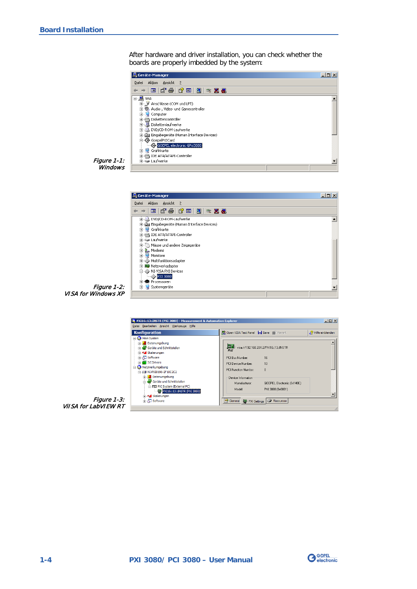After hardware and driver installation, you can check whether the boards are properly imbedded by the system:



Figure 1-1: **Windows** 







![](_page_7_Picture_7.jpeg)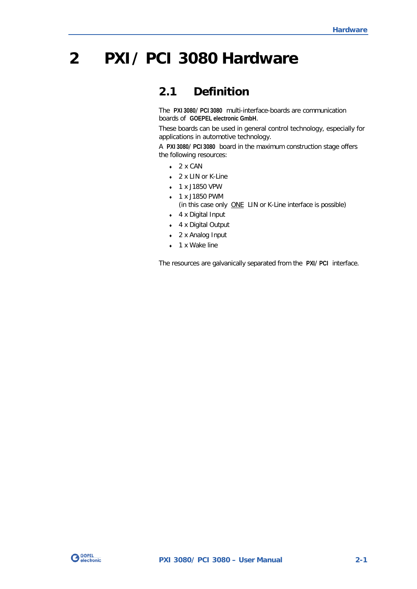## <span id="page-8-0"></span>**2 PXI/ PCI 3080 Hardware**

## <span id="page-8-1"></span>**2.1 Definition**

The **PXI 3080**/ **PCI 3080** multi-interface-boards are communication boards of **GOEPEL electronic GmbH**.

These boards can be used in general control technology, especially for applications in automotive technology.

A **PXI 3080**/ **PCI 3080** board in the maximum construction stage offers the following resources:

- $\arrow$  2 x CAN
- ♦ 2 x LIN or K-Line
- ♦ 1 x J1850 VPW
- ♦ 1 x J1850 PWM
	- (in this case only **ONE LIN or K-Line interface is possible)**
- ♦ 4 x Digital Input
- ♦ 4 x Digital Output
- ♦ 2 x Analog Input
- ♦ 1 x Wake line

The resources are galvanically separated from the **PXI**/ **PCI** interface.

![](_page_8_Picture_16.jpeg)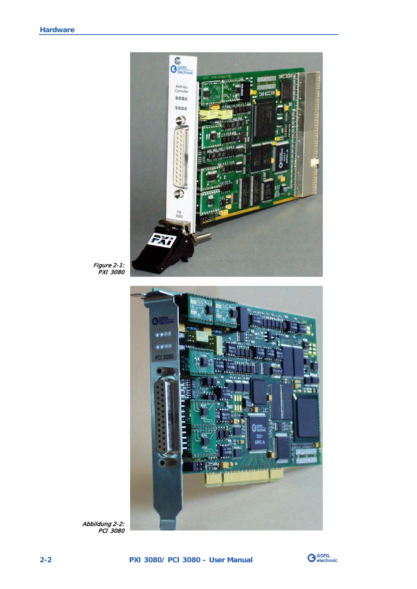![](_page_9_Picture_1.jpeg)

Figure 2-1: PXI 3080

![](_page_9_Picture_3.jpeg)

Abbildung 2-2: PCI 3080

![](_page_9_Picture_5.jpeg)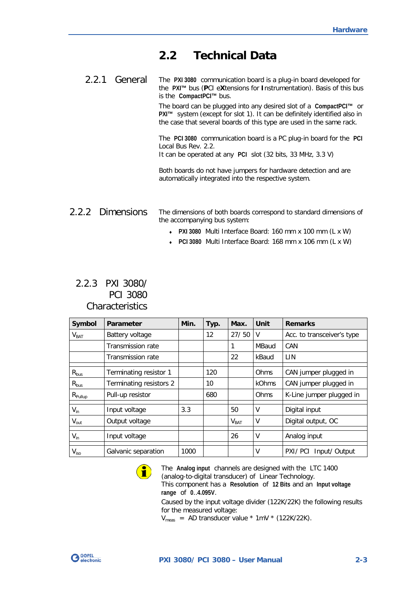## <span id="page-10-0"></span>**2.2 Technical Data**

<span id="page-10-1"></span>The **PXI 3080** communication board is a plug-in board developed for the **PXI™** bus (**P**CI e**X**tensions for **I**nstrumentation). Basis of this bus is the **CompactPCI™** bus. 2.2.1 General

> The board can be plugged into any desired slot of a **CompactPCI™** or **PXI™** system (except for slot 1). It can be definitely identified also in the case that several boards of this type are used in the same rack.

> The **PCI 3080** communication board is a PC plug-in board for the **PCI** Local Bus Rev. 2.2.

It can be operated at any **PCI** slot (32 bits, 33 MHz, 3.3 V)

Both boards do not have jumpers for hardware detection and are automatically integrated into the respective system.

#### <span id="page-10-2"></span>The dimensions of both boards correspond to standard dimensions of the accompanying bus system: 2.2.2 Dimensions

- ♦ **PXI 3080** Multi Interface Board: 160 mm x 100 mm (L x W)
- ♦ **PCI 3080** Multi Interface Board: 168 mm x 106 mm (L x W)

#### <span id="page-10-3"></span>2.2.3 PXI 3080/ PCI 3080 **Characteristics**

| Symbol              | Parameter               | Min. | Typ. | Max.             | Unit  | <b>Remarks</b>             |  |
|---------------------|-------------------------|------|------|------------------|-------|----------------------------|--|
| V <sub>BAT</sub>    | Battery voltage         |      | 12   | 27/50            | V     | Acc. to transceiver's type |  |
|                     | Transmission rate       |      |      | 1                | MBaud | CAN                        |  |
|                     | Transmission rate       |      |      | 22               | kBaud | LIN                        |  |
| $R_{bus}$           | Terminating resistor 1  |      | 120  |                  | Ohms  | CAN jumper plugged in      |  |
| $R_{bus}$           | Terminating resistors 2 |      | 10   |                  | kOhms | CAN jumper plugged in      |  |
| $R_{\text{Pullup}}$ | Pull-up resistor        |      | 680  |                  | Ohms  | K-Line jumper plugged in   |  |
| $V_{in}$            | Input voltage           | 3.3  |      | 50               | V     | Digital input              |  |
| $V_{\text{out}}$    | Output voltage          |      |      | V <sub>BAT</sub> | ۷     | Digital output, OC         |  |
| $V_{in}$            | Input voltage           |      |      | 26               | V     | Analog input               |  |
| $V_{\rm iso}$       | Galvanic separation     | 1000 |      |                  | V     | PXI/PCI<br>Input/ Output   |  |

![](_page_10_Picture_12.jpeg)

The **Analog input** channels are designed with the LTC 1400 (analog-to-digital transducer) of Linear Technology. This component has a **Resolution** of **12 Bits** and an **Input voltage range** of **0**..**4.095V**. Caused by the input voltage divider (122K/22K) the following results

for the measured voltage:

 $V_{\text{meas}}$  = AD transducer value \* 1mV \* (122K/22K).

![](_page_10_Picture_16.jpeg)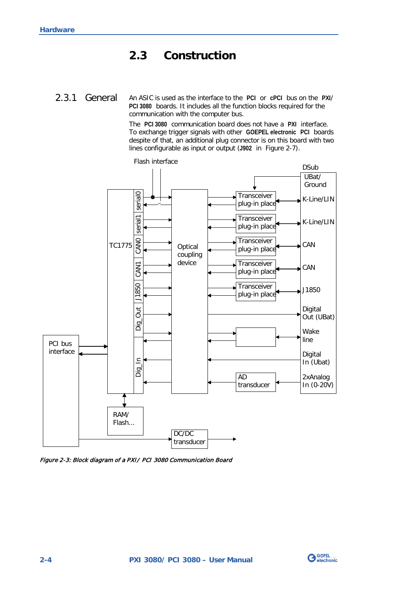## <span id="page-11-0"></span>**2.3 Construction**

<span id="page-11-1"></span>An ASIC is used as the interface to the **PCI** or **cPCI** bus on the **PXI**/ **PCI 3080** boards. It includes all the function blocks required for the communication with the computer bus. 2.3.1 General

> The **PCI 3080** communication board does not have a **PXI** interface. To exchange trigger signals with other **GOEPEL electronic PCI** boards despite of that, an additional plug connector is on this board with two lines configurable as input or output (**J902** in [Figure 2-7\)](#page-16-1).

![](_page_11_Figure_4.jpeg)

Figure 2-3: Block diagram of a PXI/ PCI 3080 Communication Board

![](_page_11_Picture_6.jpeg)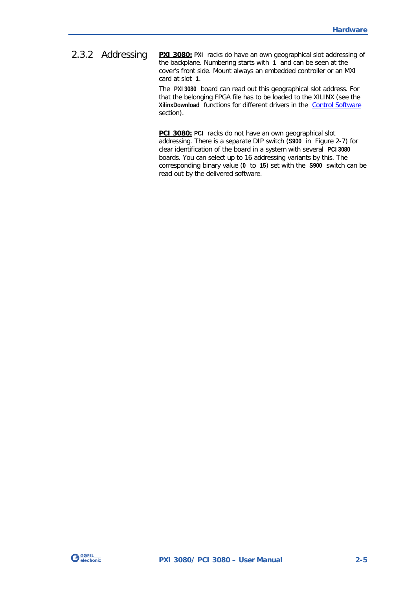<span id="page-12-0"></span>**PXI 3080:** PXI racks do have an own geographical slot addressing of the backplane. Numbering starts with **1** and can be seen at the cover's front side. Mount always an embedded controller or an MXI card at slot **1**. 2.3.2 Addressing

> The **PXI 3080** board can read out this geographical slot address. For that the belonging FPGA file has to be loaded to the XILINX (see the **XilinxDownload** functions for different drivers in the [Control Software](#page-22-0)  section).

**PCI 3080: PCI** racks do not have an own geographical slot addressing. There is a separate DIP switch (**S900** in [Figure 2-7\)](#page-16-1) for clear identification of the board in a system with several **PCI 3080** boards. You can select up to 16 addressing variants by this. The corresponding binary value (**0** to **15**) set with the **S900** switch can be read out by the delivered software.

![](_page_12_Picture_4.jpeg)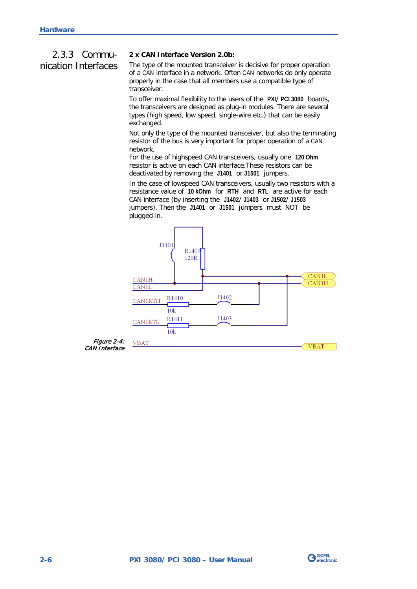## <span id="page-13-0"></span>2.3.3 Communication Interfaces

#### **2 x CAN Interface Version 2.0b:**

The type of the mounted transceiver is decisive for proper operation of a CAN interface in a network. Often CAN networks do only operate properly in the case that all members use a compatible type of transceiver.

To offer maximal flexibility to the users of the **PXI**/ **PCI 3080** boards, the transceivers are designed as plug-in modules. There are several types (high speed, low speed, single-wire etc.) that can be easily exchanged.

Not only the type of the mounted transceiver, but also the terminating resistor of the bus is very important for proper operation of a CAN network.

For the use of highspeed CAN transceivers, usually one **120 Ohm** resistor is active on each CAN interface.These resistors can be deactivated by removing the **J1401** or **J1501** jumpers.

In the case of lowspeed CAN transceivers, usually two resistors with a resistance value of **10 kOhm** for **RTH** and **RTL** are active for each CAN interface (by inserting the **J1402**/ **J1403** or **J1502**/ **J1503** jumpers). Then the **J1401** or **J1501** jumpers must NOT be plugged-in.

![](_page_13_Figure_8.jpeg)

![](_page_13_Picture_9.jpeg)

![](_page_13_Picture_10.jpeg)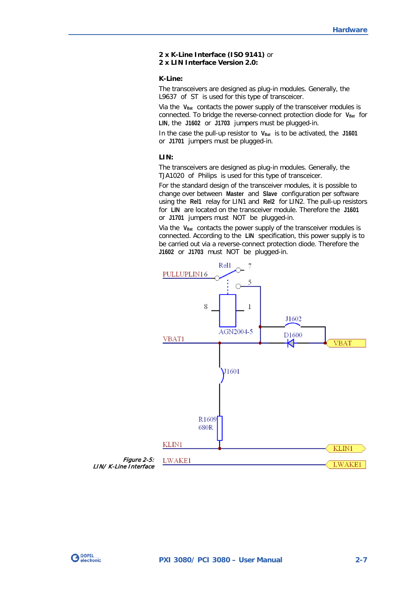#### **2 x K-Line Interface (ISO 9141)** or **2 x LIN Interface Version 2.0:**

#### **K-Line:**

The transceivers are designed as plug-in modules. Generally, the L9637 of ST is used for this type of transceicer.

Via the V<sub>Bat</sub> contacts the power supply of the transceiver modules is connected. To bridge the reverse-connect protection diode for V<sub>Bat</sub> for **LIN**, the **J1602** or **J1703** jumpers must be plugged-in.

In the case the pull-up resistor to V<sub>Bat</sub> is to be activated, the J1601 or **J1701** jumpers must be plugged-in.

#### **LIN:**

The transceivers are designed as plug-in modules. Generally, the TJA1020 of Philips is used for this type of transceicer.

For the standard design of the transceiver modules, it is possible to change over between **Master** and **Slave** configuration per software using the **Rel1** relay for LIN1 and **Rel2** for LIN2. The pull-up resistors for **LIN** are located on the transceiver module. Therefore the **J1601** or **J1701** jumpers must NOT be plugged-in.

Via the V<sub>Bat</sub> contacts the power supply of the transceiver modules is connected. According to the **LIN** specification, this power supply is to be carried out via a reverse-connect protection diode. Therefore the **J1602** or **J1703** must NOT be plugged-in.

![](_page_14_Figure_10.jpeg)

![](_page_14_Picture_11.jpeg)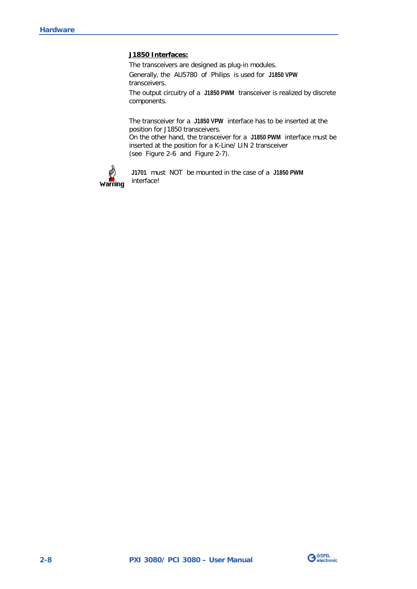#### **J1850 Interfaces:**

The transceivers are designed as plug-in modules.

Generally, the AU5780 of Philips is used for **J1850 VPW** transceivers.

The output circuitry of a **J1850 PWM** transceiver is realized by discrete components.

The transceiver for a **J1850 VPW** interface has to be inserted at the position for J1850 transceivers.

On the other hand, the transceiver for a **J1850 PWM** interface must be inserted at the position for a K-Line/ LIN 2 transceiver (see [Figure 2-6](#page-16-2) and [Figure 2-7\)](#page-16-1).

![](_page_15_Picture_7.jpeg)

**J1701** must NOT be mounted in the case of a **J1850 PWM** interface!

![](_page_15_Picture_9.jpeg)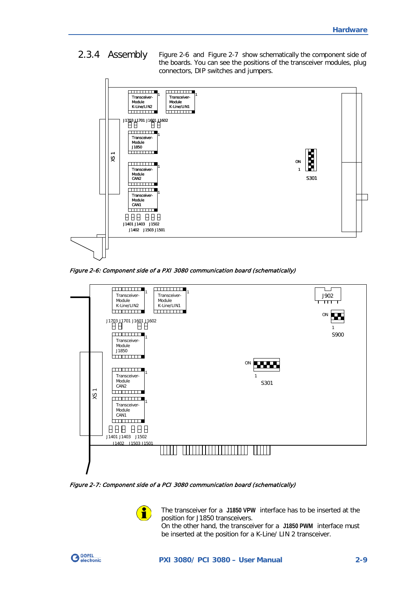<span id="page-16-0"></span>[Figure 2-6](#page-16-2) and [Figure 2-7](#page-16-1) show schematically the component side of the boards. You can see the positions of the transceiver modules, plug connectors, DIP switches and jumpers. 2.3.4 Assembly

![](_page_16_Figure_2.jpeg)

<span id="page-16-2"></span>Figure 2-6: Component side of a PXI 3080 communication board (schematically)

![](_page_16_Figure_4.jpeg)

<span id="page-16-1"></span>Figure 2-7: Component side of a PCI 3080 communication board (schematically)

![](_page_16_Picture_6.jpeg)

The transceiver for a **J1850 VPW** interface has to be inserted at the position for J1850 transceivers.

On the other hand, the transceiver for a **J1850 PWM** interface must be inserted at the position for a K-Line/ LIN 2 transceiver.

![](_page_16_Picture_9.jpeg)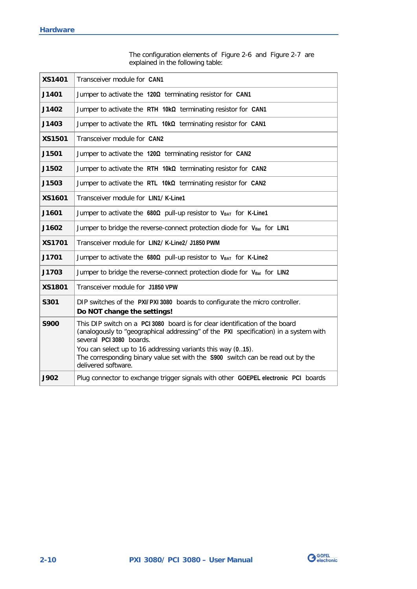The configuration elements of [Figure 2-6](#page-16-2) and [Figure 2-7](#page-16-1) are explained in the following table:

| <b>XS1401</b> | Transceiver module for CAN1                                                                                                                                                                                                                                                                                                                                              |
|---------------|--------------------------------------------------------------------------------------------------------------------------------------------------------------------------------------------------------------------------------------------------------------------------------------------------------------------------------------------------------------------------|
| J1401         | Jumper to activate the $120\Omega$ terminating resistor for CAN1                                                                                                                                                                                                                                                                                                         |
| J1402         | Jumper to activate the RTH $10k\Omega$ terminating resistor for CAN1                                                                                                                                                                                                                                                                                                     |
| J1403         | Jumper to activate the RTL $10k\Omega$ terminating resistor for CAN1                                                                                                                                                                                                                                                                                                     |
| <b>XS1501</b> | Transceiver module for CAN2                                                                                                                                                                                                                                                                                                                                              |
| J1501         | Jumper to activate the 1200 terminating resistor for CAN2                                                                                                                                                                                                                                                                                                                |
| J1502         | Jumper to activate the RTH $10k\Omega$ terminating resistor for CAN2                                                                                                                                                                                                                                                                                                     |
| J1503         | Jumper to activate the RTL $10k\Omega$ terminating resistor for CAN2                                                                                                                                                                                                                                                                                                     |
| <b>XS1601</b> | Transceiver module for LIN1/K-Line1                                                                                                                                                                                                                                                                                                                                      |
| J1601         | Jumper to activate the $680\Omega$ pull-up resistor to VBAT for K-Line1                                                                                                                                                                                                                                                                                                  |
| J1602         | Jumper to bridge the reverse-connect protection diode for VBat for LIN1                                                                                                                                                                                                                                                                                                  |
| <b>XS1701</b> | Transceiver module for LIN2/K-Line2/J1850 PWM                                                                                                                                                                                                                                                                                                                            |
| J1701         | Jumper to activate the 6800 pull-up resistor to VBAT for K-Line2                                                                                                                                                                                                                                                                                                         |
| J1703         | Jumper to bridge the reverse-connect protection diode for V <sub>Bat</sub> for LIN2                                                                                                                                                                                                                                                                                      |
| <b>XS1801</b> | Transceiver module for J1850 VPW                                                                                                                                                                                                                                                                                                                                         |
| S301          | DIP switches of the PXI/PXI 3080 boards to configurate the micro controller.<br>Do NOT change the settings!                                                                                                                                                                                                                                                              |
| <b>S900</b>   | This DIP switch on a PCI 3080 board is for clear identification of the board<br>(analogously to "geographical addressing" of the PXI specification) in a system with<br>several PCI 3080 boards.<br>You can select up to 16 addressing variants this way (015).<br>The corresponding binary value set with the S900 switch can be read out by the<br>delivered software. |
| <b>J902</b>   | Plug connector to exchange trigger signals with other GOEPEL electronic PCI boards                                                                                                                                                                                                                                                                                       |

![](_page_17_Picture_3.jpeg)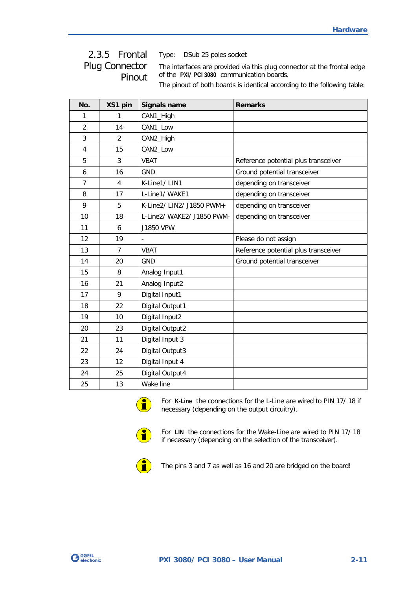## <span id="page-18-0"></span>2.3.5 Frontal Plug Connector Pinout

Type: DSub 25 poles socket

The interfaces are provided via this plug connector at the frontal edge of the **PXI**/ **PCI 3080** communication boards.

The pinout of both boards is identical according to the following table:

| No.            | XS1 pin        | <b>Signals name</b>        | <b>Remarks</b>                       |
|----------------|----------------|----------------------------|--------------------------------------|
| 1              | 1              | CAN1_High                  |                                      |
| 2              | 14             | CAN1_Low                   |                                      |
| 3              | $\overline{2}$ | CAN2_High                  |                                      |
| $\overline{4}$ | 15             | CAN2_Low                   |                                      |
| 5              | 3              | <b>VBAT</b>                | Reference potential plus transceiver |
| 6              | 16             | <b>GND</b>                 | Ground potential transceiver         |
| $\overline{7}$ | 4              | K-Line1/LIN1               | depending on transceiver             |
| 8              | 17             | L-Line1/ WAKE1             | depending on transceiver             |
| 9              | 5              | K-Line2/ LIN2/ J1850 PWM+  | depending on transceiver             |
| 10             | 18             | L-Line2/ WAKE2/ J1850 PWM- | depending on transceiver             |
| 11             | 6              | J1850 VPW                  |                                      |
| 12             | 19             |                            | Please do not assign                 |
| 13             | $\overline{7}$ | <b>VBAT</b>                | Reference potential plus transceiver |
| 14             | 20             | <b>GND</b>                 | Ground potential transceiver         |
| 15             | 8              | Analog Input1              |                                      |
| 16             | 21             | Analog Input2              |                                      |
| 17             | 9              | Digital Input1             |                                      |
| 18             | 22             | Digital Output1            |                                      |
| 19             | 10             | Digital Input2             |                                      |
| 20             | 23             | Digital Output2            |                                      |
| 21             | 11             | Digital Input 3            |                                      |
| 22             | 24             | Digital Output3            |                                      |
| 23             | 12             | Digital Input 4            |                                      |
| 24             | 25             | Digital Output4            |                                      |
| 25             | 13             | Wake line                  |                                      |

![](_page_18_Picture_6.jpeg)

For **K-Line** the connections for the L-Line are wired to PIN 17/ 18 if necessary (depending on the output circuitry).

![](_page_18_Picture_8.jpeg)

For **LIN** the connections for the Wake-Line are wired to PIN 17/ 18 if necessary (depending on the selection of the transceiver).

![](_page_18_Picture_10.jpeg)

The pins 3 and 7 as well as 16 and 20 are bridged on the board!

![](_page_18_Picture_12.jpeg)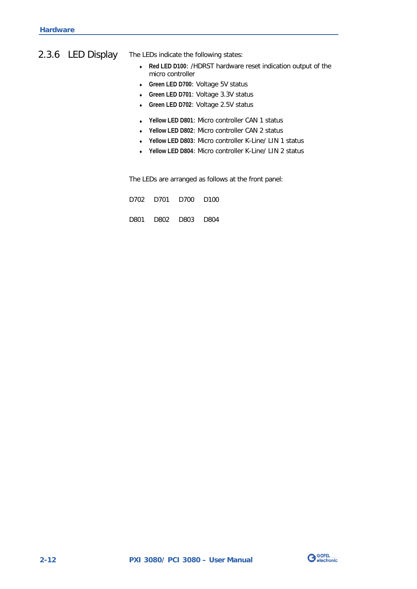## <span id="page-19-0"></span>2.3.6 LED Display

The LEDs indicate the following states:

- ♦ **Red LED D100**: /HDRST hardware reset indication output of the micro controller
- ♦ **Green LED D700**: Voltage 5V status
- ♦ **Green LED D701**: Voltage 3.3V status
- ♦ **Green LED D702**: Voltage 2.5V status
- ♦ **Yellow LED D801**: Micro controller CAN 1 status
- ♦ **Yellow LED D802**: Micro controller CAN 2 status
- ♦ **Yellow LED D803**: Micro controller K-Line/ LIN 1 status
- ♦ **Yellow LED D804**: Micro controller K-Line/ LIN 2 status

The LEDs are arranged as follows at the front panel:

|  | D702 D701 D700 D100 |  |
|--|---------------------|--|
|  |                     |  |

D801 D802 D803 D804

![](_page_19_Picture_13.jpeg)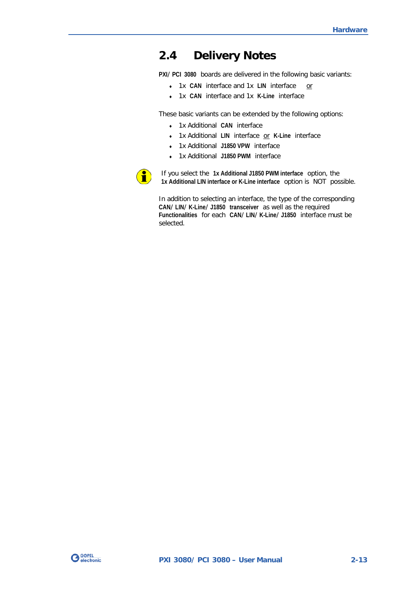## <span id="page-20-0"></span>**2.4 Delivery Notes**

**PXI**/ **PCI 3080** boards are delivered in the following basic variants:

- ♦ 1x **CAN** interface and 1x **LIN** interface or
- ♦ 1x **CAN** interface and 1x **K-Line** interface

These basic variants can be extended by the following options:

- ♦ 1x Additional **CAN** interface
- ♦ 1x Additional **LIN** interface or **K-Line** interface
- ♦ 1x Additional **J1850 VPW** interface
- ♦ 1x Additional **J1850 PWM** interface

![](_page_20_Picture_10.jpeg)

If you select the **1x Additional J1850 PWM interface** option, the **1x Additional LIN interface or K-Line interface** option is NOT possible.

In addition to selecting an interface, the type of the corresponding **CAN**/ **LIN**/ **K-Line**/ **J1850 transceiver** as well as the required **Functionalities** for each **CAN**/ **LIN**/ **K-Line**/ **J1850** interface must be selected.

![](_page_20_Picture_13.jpeg)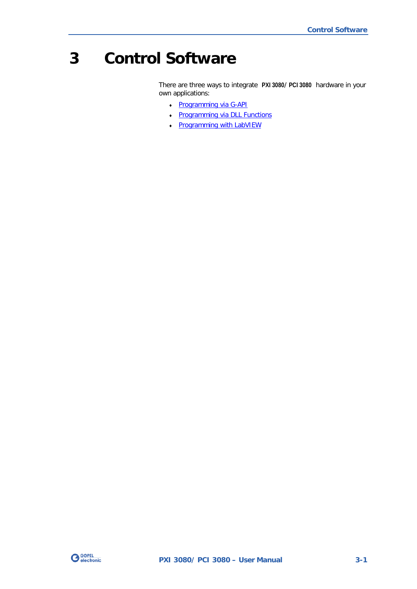## <span id="page-22-0"></span>**3 Control Software**

There are three ways to integrate **PXI 3080**/ **PCI 3080** hardware in your own applications:

- ♦ [Programming via G-API](#page-23-0)
- ♦ [Programming via DLL Functions](#page-24-0)
- ♦ [Programming with LabVIEW](#page-41-0)

![](_page_22_Picture_6.jpeg)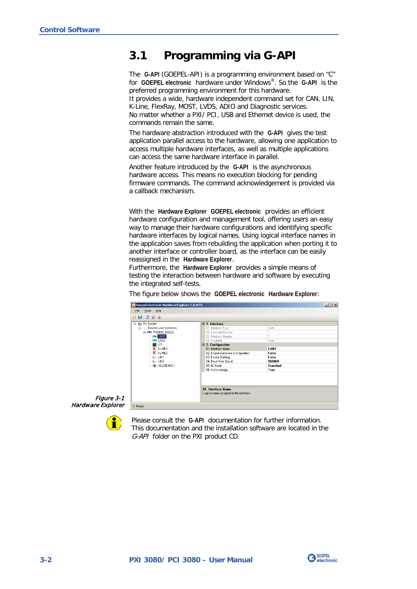## <span id="page-23-0"></span>**3.1 Programming via G-API**

The **G-API** (GOEPEL-API) is a programming environment based on "C" for **GOEPEL electronic** hardware under Windows®. So the **G-API** is the preferred programming environment for this hardware. It provides a wide, hardware independent command set for CAN, LIN, K-Line, FlexRay, MOST, LVDS, ADIO and Diagnostic services.

No matter whether a PXI/ PCI, USB and Ethernet device is used, the commands remain the same.

The hardware abstraction introduced with the **G-API** gives the test application parallel access to the hardware, allowing one application to access multiple hardware interfaces, as well as multiple applications can access the same hardware interface in parallel.

Another feature introduced by the **G-API** is the asynchronous hardware access. This means no execution blocking for pending firmware commands. The command acknowledgement is provided via a callback mechanism.

With the **Hardware Explorer GOEPEL electronic** provides an efficient hardware configuration and management tool, offering users an easy way to manage their hardware configurations and identifying specific hardware interfaces by logical names. Using logical interface names in the application saves from rebuilding the application when porting it to another interface or controller board, as the interface can be easily reassigned in the **Hardware Explorer**.

Furthermore, the **Hardware Explorer** provides a simple means of testing the interaction between hardware and software by executing the integrated self-tests.

The figure below shows the **GOEPEL electronic Hardware Explorer**:

| <b>OHRPA</b>                       |  |                                        |          |  |
|------------------------------------|--|----------------------------------------|----------|--|
|                                    |  |                                        |          |  |
| My System<br>E.                    |  | $\boxminus$ 1. Interface               |          |  |
| Devices and Interfaces<br><b>E</b> |  | 01. Interface Type                     | CAN      |  |
| E-PXI FXI3080 (50822)              |  | 02. Controller Number                  |          |  |
| <b>CAN CAN1</b>                    |  | 03. Interface Number                   |          |  |
| <b>CRN CAN2</b>                    |  | 04. Available                          | True     |  |
| $\Box$ 101                         |  | $\boxminus$ 2. Configuration           |          |  |
| <b>K</b> , KLINE1                  |  | 01. Interface Name                     | CAN1     |  |
| $K$ KLINE2                         |  | 02. Enable Automatic Configuration     | False    |  |
| $E2$ LINT                          |  | 03. Enable Blinking                    | False    |  |
| $\frac{1}{2}$ LIN2                 |  | 04. Baud Rate [baud]                   | 500000   |  |
| SEQUENCE1                          |  | 05. ID Mode                            | Standard |  |
|                                    |  | 06. Acknowledge                        | True     |  |
|                                    |  |                                        |          |  |
|                                    |  |                                        |          |  |
|                                    |  | 01. Interface Name                     |          |  |
|                                    |  | Logical name assigned to the interface |          |  |

![](_page_23_Picture_10.jpeg)

Ť

Please consult the **G-API** documentation for further information. This documentation and the installation software are located in the G-API folder on the PXI product CD.

![](_page_23_Picture_12.jpeg)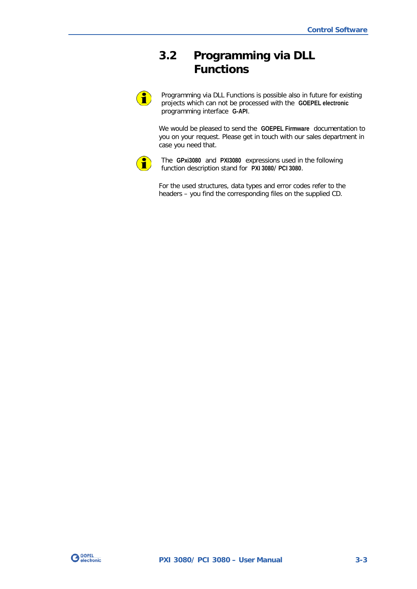## <span id="page-24-0"></span>**3.2 Programming via DLL Functions**

 $\textbf{1}$ 

Programming via DLL Functions is possible also in future for existing projects which can not be processed with the **GOEPEL electronic** programming interface **G-API**.

We would be pleased to send the **GOEPEL Firmware** documentation to you on your request. Please get in touch with our sales department in case you need that.

![](_page_24_Picture_5.jpeg)

The **GPxi3080** and **PXI3080** expressions used in the following function description stand for **PXI 3080**/ **PCI 3080**.

For the used structures, data types and error codes refer to the headers – you find the corresponding files on the supplied CD.

![](_page_24_Picture_8.jpeg)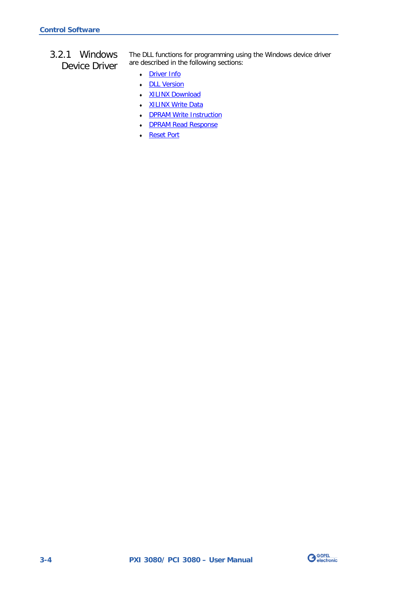<span id="page-25-0"></span>3.2.1 Windows Device Driver The DLL functions for programming using the Windows device driver are described in the following sections:

- ♦ [Driver Info](#page-26-0)
- ♦ [DLL Version](#page-27-0)
- ♦ [XILINX Download](#page-28-1)
- ♦ [XILINX Write Data](#page-29-1)
- DPRAM Write Instruction
- ♦ [DPRAM Read Response](#page-31-0)
- ♦ [Reset Port](#page-32-0)

![](_page_25_Picture_10.jpeg)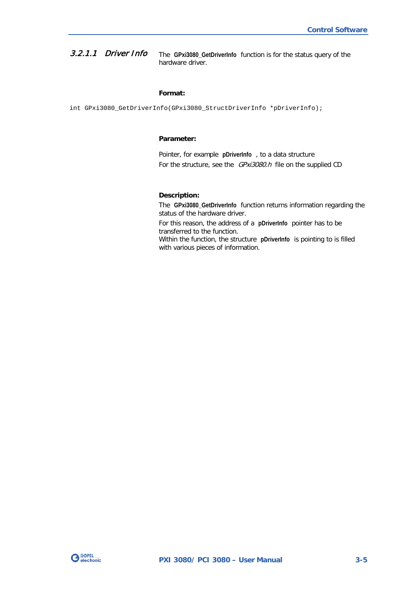<span id="page-26-0"></span>The **GPxi3080\_GetDriverInfo** function is for the status query of the hardware driver. 3.2.1.1 Driver Info

#### **Format:**

int GPxi3080\_GetDriverInfo(GPxi3080\_StructDriverInfo \*pDriverInfo);

#### **Parameter:**

Pointer, for example **pDriverInfo** , to a data structure For the structure, see the *GPxi3080.h* file on the supplied CD

#### **Description:**

The **GPxi3080\_GetDriverInfo** function returns information regarding the status of the hardware driver.

For this reason, the address of a **pDriverInfo** pointer has to be transferred to the function.

Within the function, the structure **pDriverInfo** is pointing to is filled with various pieces of information.

![](_page_26_Picture_10.jpeg)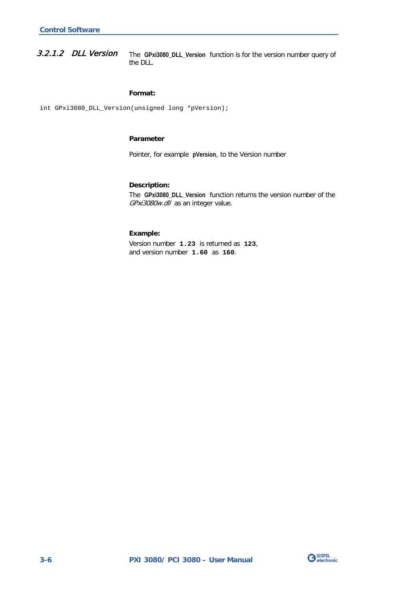<span id="page-27-0"></span>The **GPxi3080\_DLL\_Version** function is for the version number query of the DLL. 3.2.1.2 DLL Version

#### **Format:**

int GPxi3080\_DLL\_Version(unsigned long \*pVersion);

#### **Parameter**

Pointer, for example **pVersion**, to the Version number

#### **Description:**

The **GPxi3080\_DLL\_Version** function returns the version number of the GPxi3080w.dll as an integer value.

#### **Example:**

Version number **1.23** is returned as **123**, and version number **1.60** as **160**.

![](_page_27_Picture_10.jpeg)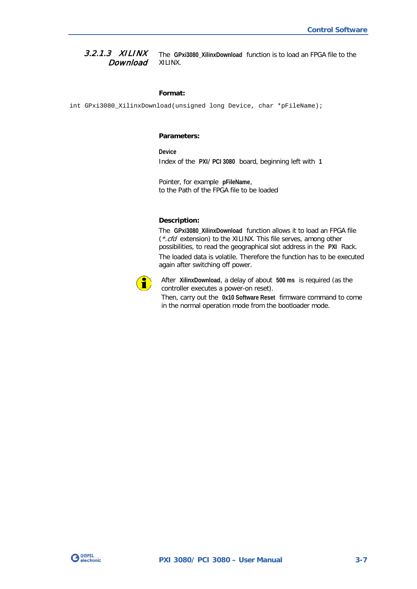<span id="page-28-1"></span><span id="page-28-0"></span>The **GPxi3080\_XilinxDownload** function is to load an FPGA file to the XILINX. 3.2.1.3 XILINX **Download** 

#### **Format:**

int GPxi3080\_XilinxDownload(unsigned long Device, char \*pFileName);

#### **Parameters:**

**Device** Index of the **PXI**/ **PCI 3080** board, beginning left with **1**

Pointer, for example **pFileName**, to the Path of the FPGA file to be loaded

#### **Description:**

The **GPxi3080\_XilinxDownload** function allows it to load an FPGA file (\*.cfd extension) to the XILINX. This file serves, among other possibilities, to read the geographical slot address in the **PXI** Rack. The loaded data is volatile. Therefore the function has to be executed again after switching off power.

![](_page_28_Picture_9.jpeg)

After **XilinxDownload**, a delay of about **500 ms** is required (as the controller executes a power-on reset).

Then, carry out the **0x10 Software Reset** firmware command to come in the normal operation mode from the bootloader mode.

![](_page_28_Picture_12.jpeg)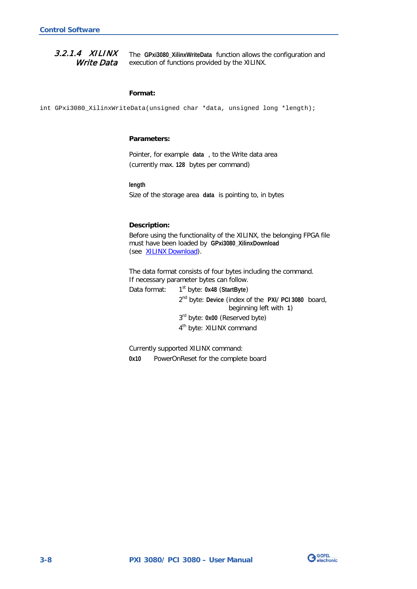#### <span id="page-29-1"></span><span id="page-29-0"></span>The **GPxi3080\_XilinxWriteData** function allows the configuration and execution of functions provided by the XILINX. 3.2.1.4 XILINX Write Data

#### **Format:**

int GPxi3080\_XilinxWriteData(unsigned char \*data, unsigned long \*length);

#### **Parameters:**

Pointer, for example **data** , to the Write data area (currently max. **128** bytes per command)

**length**

Size of the storage area **data** is pointing to, in bytes

#### **Description:**

Before using the functionality of the XILINX, the belonging FPGA file must have been loaded by **GPxi3080\_XilinxDownload** (see **XILINX Download**).

The data format consists of four bytes including the command. If necessary parameter bytes can follow.

Data format: 1st byte: **0x48** (**StartByte**)

2nd byte: **Device** (index of the **PXI**/ **PCI 3080** board, beginning left with **1**)

3rd byte: **0x00** (Reserved byte)

4<sup>th</sup> byte: XILINX command

Currently supported XILINX command:

**0x10** PowerOnReset for the complete board

![](_page_29_Picture_17.jpeg)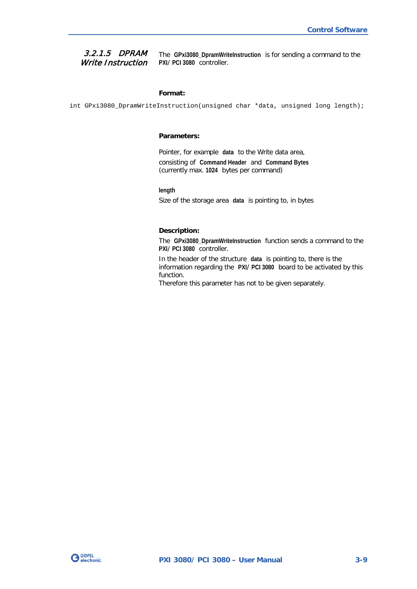#### <span id="page-30-0"></span>3.2.1.5 DPRAM Write Instruction

The **GPxi3080\_DpramWriteInstruction** is for sending a command to the **PXI**/ **PCI 3080** controller.

#### **Format:**

int GPxi3080\_DpramWriteInstruction(unsigned char \*data, unsigned long length);

#### **Parameters:**

Pointer, for example **data** to the Write data area, consisting of **Command Header** and **Command Bytes** (currently max. **1024** bytes per command)

**length**

Size of the storage area **data** is pointing to, in bytes

#### **Description:**

The **GPxi3080\_DpramWriteInstruction** function sends a command to the **PXI**/ **PCI 3080** controller.

In the header of the structure **data** is pointing to, there is the information regarding the **PXI**/ **PCI 3080** board to be activated by this function.

Therefore this parameter has not to be given separately.

![](_page_30_Picture_13.jpeg)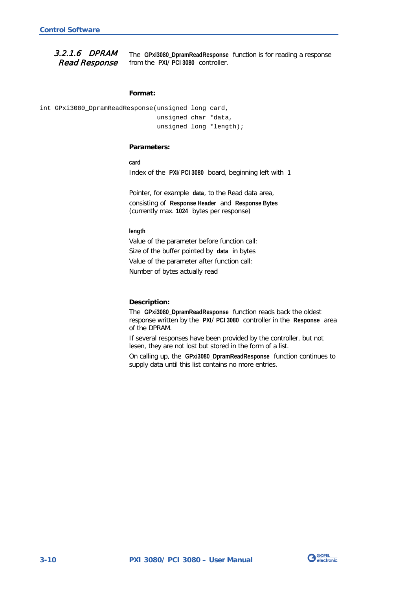<span id="page-31-0"></span>3.2.1.6 DPRAM Read Response

The **GPxi3080\_DpramReadResponse** function is for reading a response from the **PXI**/ **PCI 3080** controller.

#### **Format:**

```
int GPxi3080_DpramReadResponse(unsigned long card,
                     unsigned char *data,
                     unsigned long *length);
```
#### **Parameters:**

**card**

Index of the **PXI**/ **PCI 3080** board, beginning left with **1**

Pointer, for example **data**, to the Read data area, consisting of **Response Header** and **Response Bytes** (currently max. **1024** bytes per response)

**length**

Value of the parameter before function call: Size of the buffer pointed by **data** in bytes Value of the parameter after function call: Number of bytes actually read

#### **Description:**

The **GPxi3080\_DpramReadResponse** function reads back the oldest response written by the **PXI**/ **PCI 3080** controller in the **Response** area of the DPRAM.

If several responses have been provided by the controller, but not lesen, they are not lost but stored in the form of a list.

On calling up, the **GPxi3080\_DpramReadResponse** function continues to supply data until this list contains no more entries.

![](_page_31_Picture_15.jpeg)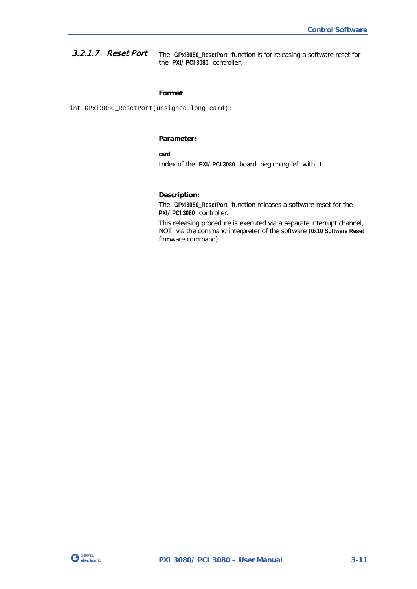<span id="page-32-0"></span>The **GPxi3080\_ResetPort** function is for releasing a software reset for the **PXI**/ **PCI 3080** controller. 3.2.1.7 Reset Port

#### **Format**

int GPxi3080\_ResetPort(unsigned long card);

#### **Parameter:**

**card** Index of the **PXI**/ **PCI 3080** board, beginning left with **1**

#### **Description:**

The **GPxi3080\_ResetPort** function releases a software reset for the **PXI**/ **PCI 3080** controller.

This releasing procedure is executed via a separate interrupt channel, NOT via the command interpreter of the software (**0x10 Software Reset** firmware command).

![](_page_32_Picture_9.jpeg)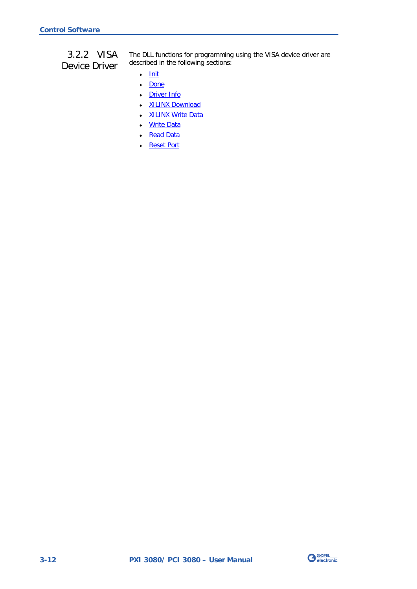## <span id="page-33-0"></span>3.2.2 VISA Device Driver

The DLL functions for programming using the VISA device driver are described in the following sections:

- ♦ [Init](#page-34-2)
- ♦ [Done](#page-34-2)
- ♦ [Driver Info](#page-35-1)
- ♦ [XILINX Download](#page-36-1)
- ♦ [XILINX Write Data](#page-37-1)
- Write Data
- ♦ [Read Data](#page-39-1)
- ♦ [Reset Port](#page-40-0)

![](_page_33_Picture_11.jpeg)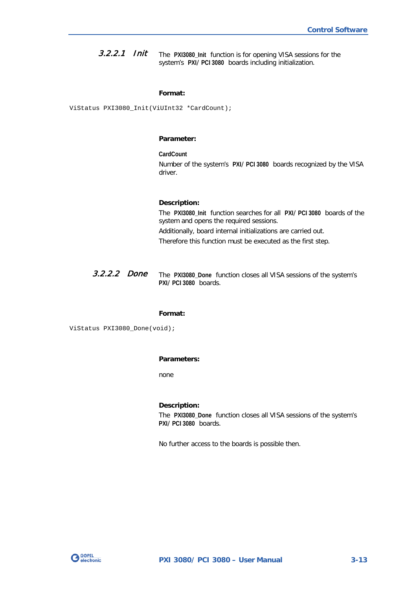<span id="page-34-2"></span><span id="page-34-0"></span>The **PXI3080\_Init** function is for opening VISA sessions for the system's **PXI**/ **PCI 3080** boards including initialization. 3.2.2.1 Init

#### **Format:**

ViStatus PXI3080\_Init(ViUInt32 \*CardCount);

#### **Parameter:**

**CardCount** Number of the system's **PXI**/ **PCI 3080** boards recognized by the VISA driver.

#### **Description:**

The **PXI3080\_Init** function searches for all **PXI**/ **PCI 3080** boards of the system and opens the required sessions. Additionally, board internal initializations are carried out. Therefore this function must be executed as the first step.

<span id="page-34-1"></span>The **PXI3080\_Done** function closes all VISA sessions of the system's **PXI**/ **PCI 3080** boards. 3.2.2.2 Done

#### **Format:**

ViStatus PXI3080\_Done(void);

#### **Parameters:**

none

#### **Description:**

The **PXI3080\_Done** function closes all VISA sessions of the system's **PXI**/ **PCI 3080** boards.

No further access to the boards is possible then.

![](_page_34_Picture_16.jpeg)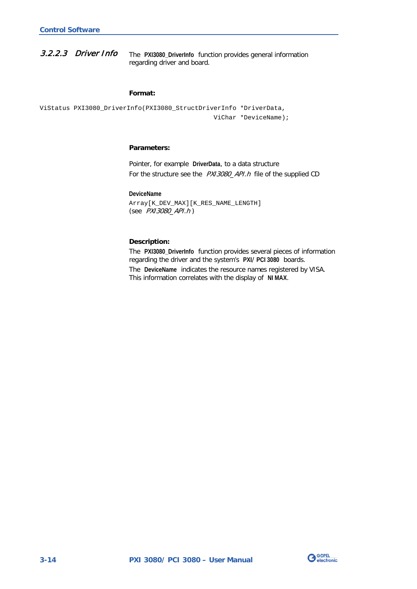<span id="page-35-1"></span><span id="page-35-0"></span>The **PXI3080\_DriverInfo** function provides general information regarding driver and board. 3.2.2.3 Driver Info

#### **Format:**

```
ViStatus PXI3080_DriverInfo(PXI3080_StructDriverInfo *DriverData,
                                   ViChar *DeviceName);
```
#### **Parameters:**

Pointer, for example **DriverData**, to a data structure For the structure see the PXI3080\_API.h file of the supplied CD

**DeviceName**

Array[K\_DEV\_MAX][K\_RES\_NAME\_LENGTH] (see PXI3080\_API.h )

#### **Description:**

The **PXI3080\_DriverInfo** function provides several pieces of information regarding the driver and the system's **PXI**/ **PCI 3080** boards.

The **DeviceName** indicates the resource names registered by VISA. This information correlates with the display of **NI MAX**.

![](_page_35_Picture_11.jpeg)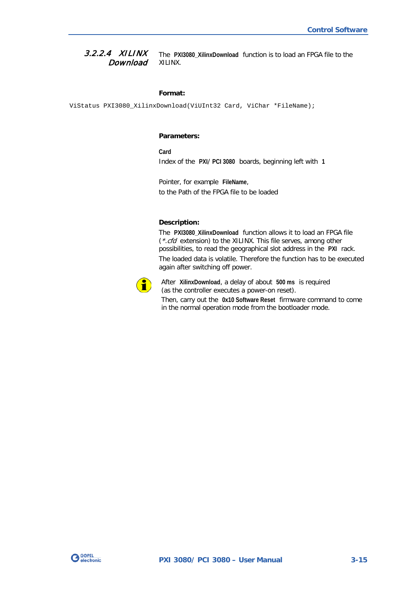<span id="page-36-1"></span><span id="page-36-0"></span>The **PXI3080\_XilinxDownload** function is to load an FPGA file to the XILINX. 3.2.2.4 XILINX **Download** 

#### **Format:**

ViStatus PXI3080\_XilinxDownload(ViUInt32 Card, ViChar \*FileName);

#### **Parameters:**

**Card** Index of the **PXI**/ **PCI 3080** boards, beginning left with **1**

Pointer, for example **FileName**, to the Path of the FPGA file to be loaded

#### **Description:**

The **PXI3080\_XilinxDownload** function allows it to load an FPGA file (\*.cfd extension) to the XILINX. This file serves, among other possibilities, to read the geographical slot address in the **PXI** rack. The loaded data is volatile. Therefore the function has to be executed again after switching off power.

![](_page_36_Picture_9.jpeg)

After **XilinxDownload**, a delay of about **500 ms** is required (as the controller executes a power-on reset). Then, carry out the **0x10 Software Reset** firmware command to come in the normal operation mode from the bootloader mode.

![](_page_36_Picture_11.jpeg)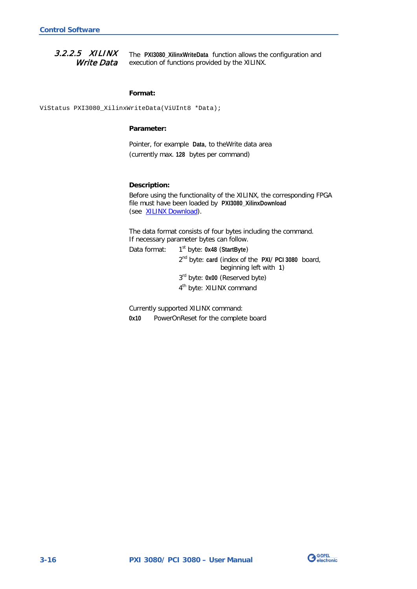<span id="page-37-1"></span><span id="page-37-0"></span>The **PXI3080\_XilinxWriteData** function allows the configuration and execution of functions provided by the XILINX. 3.2.2.5 XILINX Write Data

#### **Format:**

ViStatus PXI3080\_XilinxWriteData(ViUInt8 \*Data);

#### **Parameter:**

Pointer, for example **Data**, to theWrite data area (currently max. **128** bytes per command)

#### **Description:**

Before using the functionality of the XILINX, the corresponding FPGA file must have been loaded by **PXI3080\_XilinxDownload** (see [XILINX Download\)](#page-36-1).

The data format consists of four bytes including the command. If necessary parameter bytes can follow.

Data format: 1<sup>st</sup> byte: 0x48 (StartByte) 2nd byte: **card** (index of the **PXI**/ **PCI 3080** board, beginning left with **1**) 3rd byte: **0x00** (Reserved byte) 4<sup>th</sup> byte: XILINX command

Currently supported XILINX command:

**0x10** PowerOnReset for the complete board

![](_page_37_Picture_12.jpeg)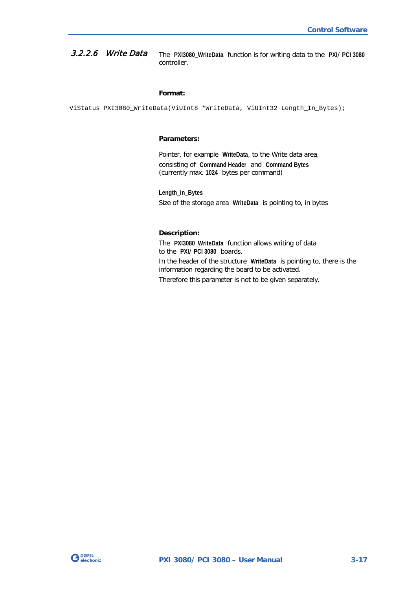#### <span id="page-38-1"></span><span id="page-38-0"></span>The **PXI3080\_WriteData** function is for writing data to the **PXI**/ **PCI 3080** controller. 3.2.2.6 Write Data

#### **Format:**

ViStatus PXI3080\_WriteData(ViUInt8 \*WriteData, ViUInt32 Length\_In\_Bytes);

#### **Parameters:**

Pointer, for example **WriteData**, to the Write data area, consisting of **Command Header** and **Command Bytes** (currently max. **1024** bytes per command)

**Length\_In\_Bytes** Size of the storage area **WriteData** is pointing to, in bytes

#### **Description:**

The **PXI3080\_WriteData** function allows writing of data to the **PXI**/ **PCI 3080** boards.

In the header of the structure **WriteData** is pointing to, there is the information regarding the board to be activated.

Therefore this parameter is not to be given separately.

![](_page_38_Picture_11.jpeg)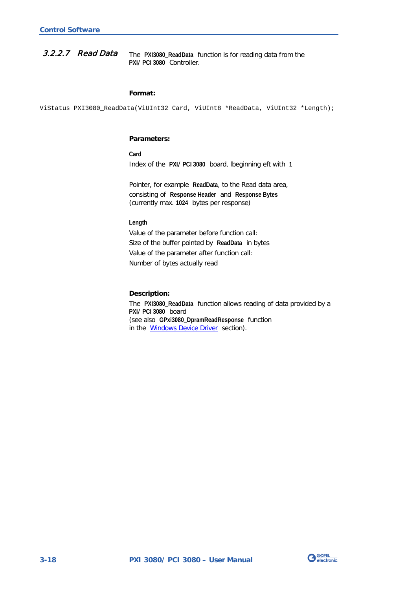#### <span id="page-39-1"></span><span id="page-39-0"></span>The **PXI3080\_ReadData** function is for reading data from the **PXI**/ **PCI 3080** Controller. 3.2.2.7 Read Data

#### **Format:**

ViStatus PXI3080\_ReadData(ViUInt32 Card, ViUInt8 \*ReadData, ViUInt32 \*Length);

#### **Parameters:**

**Card** Index of the **PXI**/ **PCI 3080** board, lbeginning eft with **1**

Pointer, for example **ReadData**, to the Read data area, consisting of **Response Header** and **Response Bytes** (currently max. **1024** bytes per response)

#### **Length**

Value of the parameter before function call: Size of the buffer pointed by **ReadData** in bytes Value of the parameter after function call: Number of bytes actually read

#### **Description:**

The **PXI3080\_ReadData** function allows reading of data provided by a **PXI**/ **PCI 3080** board (see also **GPxi3080\_DpramReadResponse** function in the [Windows Device Driver](#page-25-0) section).

![](_page_39_Picture_11.jpeg)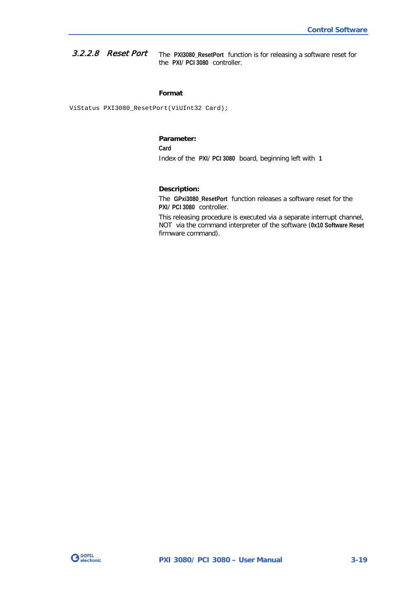<span id="page-40-0"></span>The **PXI3080\_ResetPort** function is for releasing a software reset for the **PXI**/ **PCI 3080** controller. 3.2.2.8 Reset Port

#### **Format**

ViStatus PXI3080\_ResetPort(ViUInt32 Card);

#### **Parameter:**

**Card**

Index of the **PXI**/ **PCI 3080** board, beginning left with **1**

#### **Description:**

The **GPxi3080\_ResetPort** function releases a software reset for the **PXI**/ **PCI 3080** controller.

This releasing procedure is executed via a separate interrupt channel, NOT via the command interpreter of the software (**0x10 Software Reset** firmware command).

![](_page_40_Picture_10.jpeg)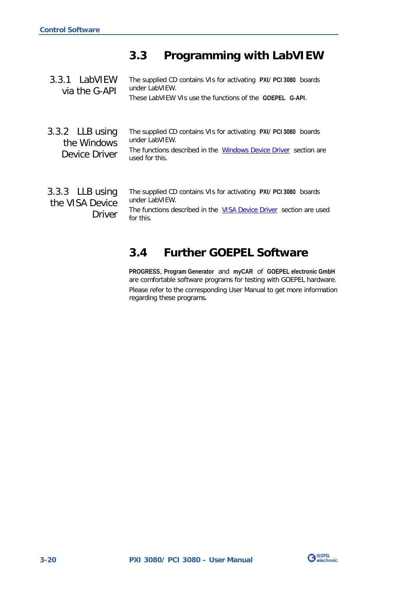## <span id="page-41-0"></span>**3.3 Programming with LabVIEW**

<span id="page-41-3"></span><span id="page-41-2"></span><span id="page-41-1"></span>The supplied CD contains VIs for activating **PXI**/ **PCI 3080** boards under LabVIEW. These LabVIEW VIs use the functions of the **GOEPEL G-API**. The supplied CD contains VIs for activating **PXI**/ **PCI 3080** boards under LabVIEW. The functions described in the **Windows Device Driver** section are used for this. The supplied CD contains VIs for activating **PXI**/ **PCI 3080** boards under LabVIEW. The functions described in the [VISA Device Driver](#page-33-0) section are used for this. 3.3.1 LabVIEW via the G-API 3.3.2 LLB using the Windows Device Driver 3.3.3 LLB using the VISA Device Driver

## <span id="page-41-4"></span>**3.4 Further GOEPEL Software**

**PROGRESS**, **Program Generator** and **myCAR** of **GOEPEL electronic GmbH** are comfortable software programs for testing with GOEPEL hardware. Please refer to the corresponding User Manual to get more information regarding these programs**.**

![](_page_41_Picture_5.jpeg)